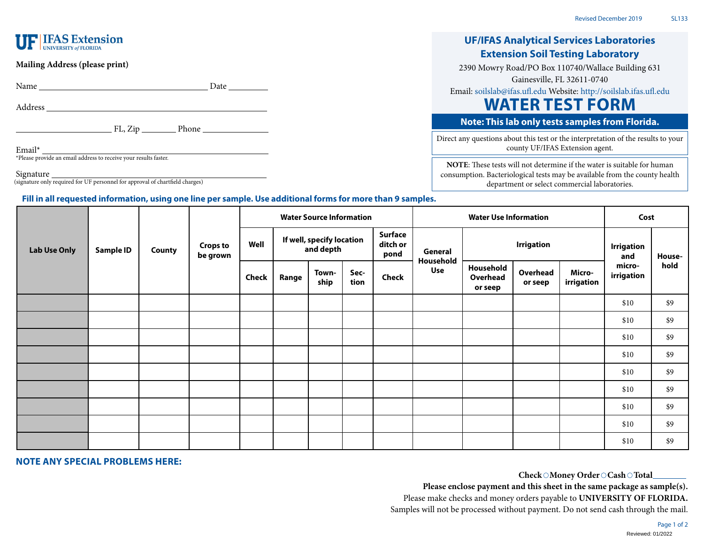# **UF IFAS Extension**

## **Mailing Address (please print)**

Name Date Date

Address

**FL, Zip** Phone Phone

Email\* \*Please provide an email address to receive your results faster.

Signature

(signature only required for UF personnel for approval of chartfield charges)

## **Fill in all requested information, using one line per sample. Use additional forms for more than 9 samples.**

# **UF/IFAS Analytical Services Laboratories Extension Soil Testing Laboratory**

2390 Mowry Road/PO Box 110740/Wallace Building 631

Gainesville, FL 32611-0740

Email: [soilslab@ifas.ufl.edu](mailto:soilslab@ifas.ufl.edu) Website:<http://soilslab.ifas.ufl.edu>

# **WATER TEST FORM**

# **Note: This lab only tests samples from Florida.**

Direct any questions about this test or the interpretation of the results to your county UF/IFAS Extension agent.

**NOTE**: These tests will not determine if the water is suitable for human consumption. Bacteriological tests may be available from the county health department or select commercial laboratories.

|                     | <b>Sample ID</b> | <b>County</b> | <b>Crops to</b><br>be grown | <b>Water Source Information</b> |                                                                              |               |              |                      | <b>Water Use Information</b> |                                  |                     |                          | Cost                 |      |
|---------------------|------------------|---------------|-----------------------------|---------------------------------|------------------------------------------------------------------------------|---------------|--------------|----------------------|------------------------------|----------------------------------|---------------------|--------------------------|----------------------|------|
| <b>Lab Use Only</b> |                  |               |                             | Well                            | <b>Surface</b><br>If well, specify location<br>ditch or<br>and depth<br>pond |               |              | General<br>Household | <b>Irrigation</b>            |                                  |                     | <b>Irrigation</b><br>and | House-               |      |
|                     |                  |               |                             | Check                           | Range                                                                        | Town-<br>ship | Sec-<br>tion | Check                | <b>Use</b>                   | Household<br>Overhead<br>or seep | Overhead<br>or seep | Micro-<br>irrigation     | micro-<br>irrigation | hold |
|                     |                  |               |                             |                                 |                                                                              |               |              |                      |                              |                                  |                     |                          | \$10                 | \$9  |
|                     |                  |               |                             |                                 |                                                                              |               |              |                      |                              |                                  |                     |                          | \$10                 | \$9  |
|                     |                  |               |                             |                                 |                                                                              |               |              |                      |                              |                                  |                     |                          | \$10                 | \$9  |
|                     |                  |               |                             |                                 |                                                                              |               |              |                      |                              |                                  |                     |                          | \$10                 | \$9  |
|                     |                  |               |                             |                                 |                                                                              |               |              |                      |                              |                                  |                     |                          | \$10                 | \$9  |
|                     |                  |               |                             |                                 |                                                                              |               |              |                      |                              |                                  |                     |                          | \$10                 | \$9  |
|                     |                  |               |                             |                                 |                                                                              |               |              |                      |                              |                                  |                     |                          | \$10                 | \$9  |
|                     |                  |               |                             |                                 |                                                                              |               |              |                      |                              |                                  |                     |                          | \$10                 | \$9  |
|                     |                  |               |                             |                                 |                                                                              |               |              |                      |                              |                                  |                     |                          | \$10                 | \$9  |

## **NOTE ANY SPECIAL PROBLEMS HERE:**

## Check  $\odot$  Money Order  $\odot$  Cash  $\odot$  Total  $\_\_$

**Please enclose payment and this sheet in the same package as sample(s).** Please make checks and money orders payable to **UNIVERSITY OF FLORIDA.** Samples will not be processed without payment. Do not send cash through the mail.